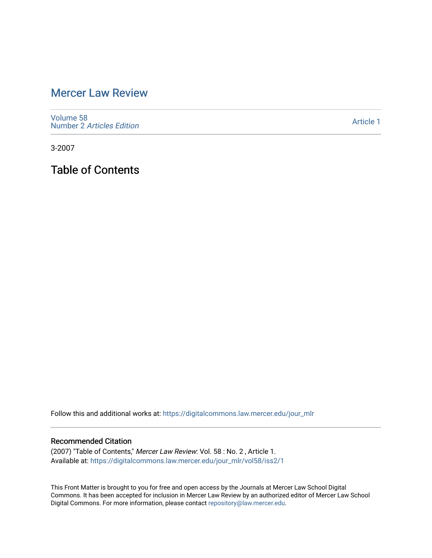# [Mercer Law Review](https://digitalcommons.law.mercer.edu/jour_mlr)

[Volume 58](https://digitalcommons.law.mercer.edu/jour_mlr/vol58) Number 2 [Articles Edition](https://digitalcommons.law.mercer.edu/jour_mlr/vol58/iss2) 

[Article 1](https://digitalcommons.law.mercer.edu/jour_mlr/vol58/iss2/1) 

3-2007

Table of Contents

Follow this and additional works at: [https://digitalcommons.law.mercer.edu/jour\\_mlr](https://digitalcommons.law.mercer.edu/jour_mlr?utm_source=digitalcommons.law.mercer.edu%2Fjour_mlr%2Fvol58%2Fiss2%2F1&utm_medium=PDF&utm_campaign=PDFCoverPages)

#### Recommended Citation

(2007) "Table of Contents," Mercer Law Review: Vol. 58 : No. 2 , Article 1. Available at: [https://digitalcommons.law.mercer.edu/jour\\_mlr/vol58/iss2/1](https://digitalcommons.law.mercer.edu/jour_mlr/vol58/iss2/1?utm_source=digitalcommons.law.mercer.edu%2Fjour_mlr%2Fvol58%2Fiss2%2F1&utm_medium=PDF&utm_campaign=PDFCoverPages)

This Front Matter is brought to you for free and open access by the Journals at Mercer Law School Digital Commons. It has been accepted for inclusion in Mercer Law Review by an authorized editor of Mercer Law School Digital Commons. For more information, please contact [repository@law.mercer.edu](mailto:repository@law.mercer.edu).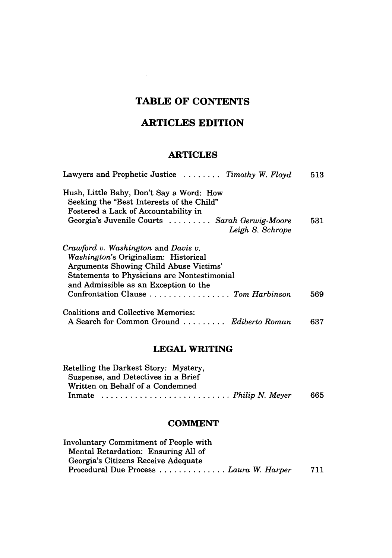# **TABLE OF CONTENTS**

 $\sim 10^{-11}$ 

## **ARTICLES EDITION**

### **ARTICLES**

| Seeking the "Best Interests of the Child"<br>Fostered a Lack of Accountability in<br>Georgia's Juvenile Courts  Sarah Gerwig-Moore<br>Leigh S. Schrope<br>Washington's Originalism: Historical<br>Arguments Showing Child Abuse Victims'<br><b>Statements to Physicians are Nontestimonial</b><br>and Admissible as an Exception to the<br>Confrontation Clause  Tom Harbinson<br>A Search for Common Ground  Ediberto Roman<br>637 | Lawyers and Prophetic Justice  Timothy W. Floyd | 513 |
|-------------------------------------------------------------------------------------------------------------------------------------------------------------------------------------------------------------------------------------------------------------------------------------------------------------------------------------------------------------------------------------------------------------------------------------|-------------------------------------------------|-----|
|                                                                                                                                                                                                                                                                                                                                                                                                                                     | Hush, Little Baby, Don't Say a Word: How        |     |
|                                                                                                                                                                                                                                                                                                                                                                                                                                     |                                                 |     |
|                                                                                                                                                                                                                                                                                                                                                                                                                                     |                                                 |     |
|                                                                                                                                                                                                                                                                                                                                                                                                                                     |                                                 | 531 |
|                                                                                                                                                                                                                                                                                                                                                                                                                                     |                                                 |     |
|                                                                                                                                                                                                                                                                                                                                                                                                                                     | Crawford v. Washington and Davis v.             |     |
|                                                                                                                                                                                                                                                                                                                                                                                                                                     |                                                 |     |
|                                                                                                                                                                                                                                                                                                                                                                                                                                     |                                                 |     |
|                                                                                                                                                                                                                                                                                                                                                                                                                                     |                                                 |     |
|                                                                                                                                                                                                                                                                                                                                                                                                                                     |                                                 |     |
|                                                                                                                                                                                                                                                                                                                                                                                                                                     |                                                 | 569 |
|                                                                                                                                                                                                                                                                                                                                                                                                                                     | <b>Coalitions and Collective Memories:</b>      |     |
|                                                                                                                                                                                                                                                                                                                                                                                                                                     |                                                 |     |

#### **LEGAL WRITING**

| Retelling the Darkest Story: Mystery,                                               |     |
|-------------------------------------------------------------------------------------|-----|
| Suspense, and Detectives in a Brief                                                 |     |
| Written on Behalf of a Condemned                                                    |     |
| In mate $\ldots \ldots \ldots \ldots \ldots \ldots \ldots \ldots$ . Philip N. Meyer | 665 |

#### **COMMENT**

| <b>Involuntary Commitment of People with</b> |     |
|----------------------------------------------|-----|
| Mental Retardation: Ensuring All of          |     |
| Georgia's Citizens Receive Adequate          |     |
| Procedural Due Process  Laura W. Harper      | 711 |